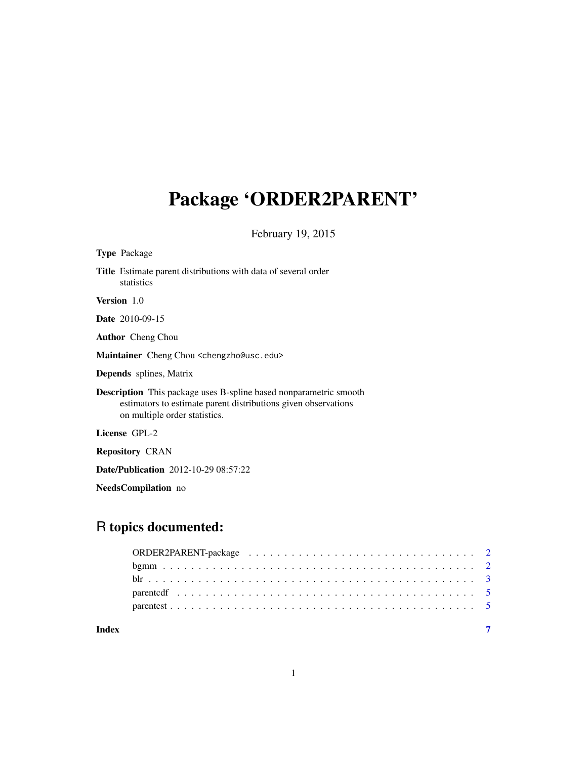# Package 'ORDER2PARENT'

February 19, 2015

| <b>Type Package</b>                                                                                                                                                         |  |
|-----------------------------------------------------------------------------------------------------------------------------------------------------------------------------|--|
| <b>Title</b> Estimate parent distributions with data of several order<br>statistics                                                                                         |  |
| <b>Version</b> 1.0                                                                                                                                                          |  |
| <b>Date</b> 2010-09-15                                                                                                                                                      |  |
| <b>Author</b> Cheng Chou                                                                                                                                                    |  |
| Maintainer Cheng Chou <chengzho@usc.edu></chengzho@usc.edu>                                                                                                                 |  |
| <b>Depends</b> splines, Matrix                                                                                                                                              |  |
| <b>Description</b> This package uses B-spline based nonparametric smooth<br>estimators to estimate parent distributions given observations<br>on multiple order statistics. |  |
| License GPL-2                                                                                                                                                               |  |
| <b>Repository CRAN</b>                                                                                                                                                      |  |
| <b>Date/Publication</b> 2012-10-29 08:57:22                                                                                                                                 |  |
|                                                                                                                                                                             |  |

NeedsCompilation no

# R topics documented:

| Index |  |
|-------|--|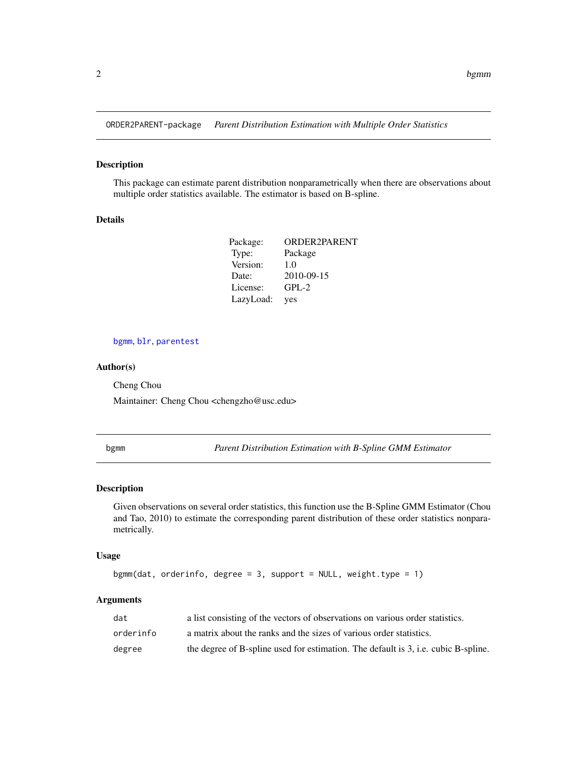<span id="page-1-0"></span>ORDER2PARENT-package *Parent Distribution Estimation with Multiple Order Statistics*

# Description

This package can estimate parent distribution nonparametrically when there are observations about multiple order statistics available. The estimator is based on B-spline.

#### Details

| Package:  | ORDER2PARENT |
|-----------|--------------|
| Type:     | Package      |
| Version:  | 1.0          |
| Date:     | 2010-09-15   |
| License:  | $GPL-2$      |
| LazyLoad: | yes          |

# [bgmm](#page-1-1), [blr](#page-2-1), [parentest](#page-4-1)

#### Author(s)

Cheng Chou Maintainer: Cheng Chou <chengzho@usc.edu>

<span id="page-1-1"></span>bgmm *Parent Distribution Estimation with B-Spline GMM Estimator*

# Description

Given observations on several order statistics, this function use the B-Spline GMM Estimator (Chou and Tao, 2010) to estimate the corresponding parent distribution of these order statistics nonparametrically.

# Usage

```
bgmm(data, orderinfo, degree = 3, support = NULL, weight-type = 1)
```
# Arguments

| dat       | a list consisting of the vectors of observations on various order statistics.      |
|-----------|------------------------------------------------------------------------------------|
| orderinfo | a matrix about the ranks and the sizes of various order statistics.                |
| degree    | the degree of B-spline used for estimation. The default is 3, i.e. cubic B-spline. |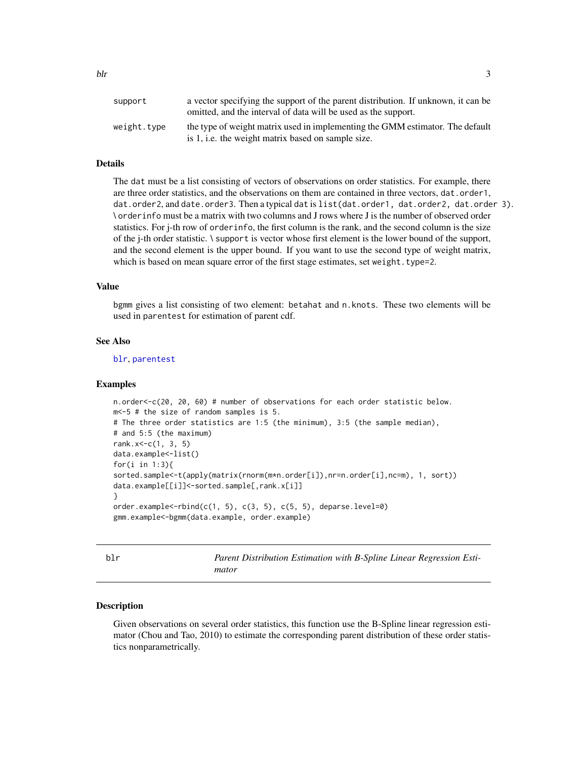<span id="page-2-0"></span>

| support     | a vector specifying the support of the parent distribution. If unknown, it can be<br>omitted, and the interval of data will be used as the support. |
|-------------|-----------------------------------------------------------------------------------------------------------------------------------------------------|
| weight.type | the type of weight matrix used in implementing the GMM estimator. The default<br>is 1, i.e. the weight matrix based on sample size.                 |

# Details

The dat must be a list consisting of vectors of observations on order statistics. For example, there are three order statistics, and the observations on them are contained in three vectors, dat.order1, dat.order2, and date.order3. Then a typical dat is list(dat.order1, dat.order2, dat.order 3). \ orderinfo must be a matrix with two columns and J rows where J is the number of observed order statistics. For j-th row of orderinfo, the first column is the rank, and the second column is the size of the j-th order statistic. \ support is vector whose first element is the lower bound of the support, and the second element is the upper bound. If you want to use the second type of weight matrix, which is based on mean square error of the first stage estimates, set weight.type=2.

#### Value

bgmm gives a list consisting of two element: betahat and n.knots. These two elements will be used in parentest for estimation of parent cdf.

#### See Also

[blr](#page-2-1), [parentest](#page-4-1)

#### Examples

```
n.order<-c(20, 20, 60) # number of observations for each order statistic below.
m<-5 # the size of random samples is 5.
# The three order statistics are 1:5 (the minimum), 3:5 (the sample median),
# and 5:5 (the maximum)
rank.x<-c(1, 3, 5)
data.example<-list()
for(i in 1:3){
sorted.sample<-t(apply(matrix(rnorm(m*n.order[i]),nr=n.order[i],nc=m), 1, sort))
data.example[[i]]<-sorted.sample[,rank.x[i]]
}
order.example<-rbind(c(1, 5), c(3, 5), c(5, 5), deparse.level=0)
gmm.example<-bgmm(data.example, order.example)
```
<span id="page-2-1"></span>blr *Parent Distribution Estimation with B-Spline Linear Regression Estimator*

#### Description

Given observations on several order statistics, this function use the B-Spline linear regression estimator (Chou and Tao, 2010) to estimate the corresponding parent distribution of these order statistics nonparametrically.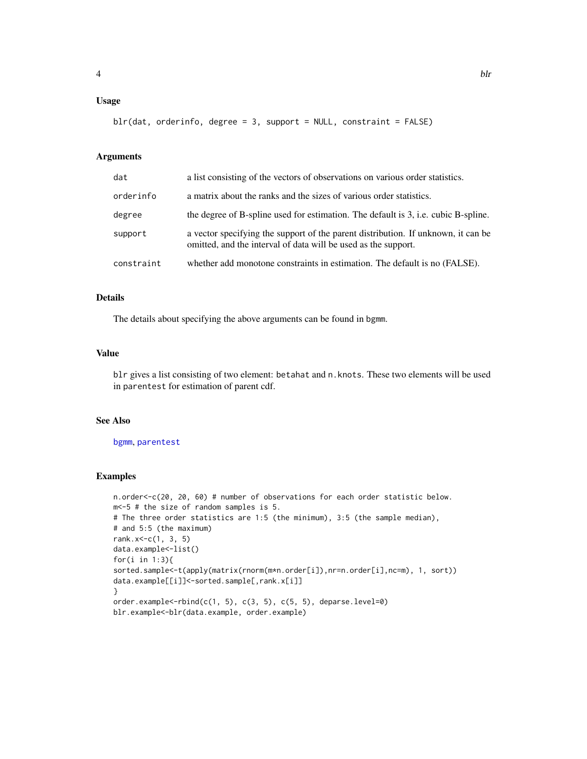# <span id="page-3-0"></span>Usage

```
blr(data, orderinfo, degree = 3, support = NULL, constraint = FALSE)
```
#### Arguments

| dat        | a list consisting of the vectors of observations on various order statistics.                                                                       |
|------------|-----------------------------------------------------------------------------------------------------------------------------------------------------|
| orderinfo  | a matrix about the ranks and the sizes of various order statistics.                                                                                 |
| degree     | the degree of B-spline used for estimation. The default is 3, i.e. cubic B-spline.                                                                  |
| support    | a vector specifying the support of the parent distribution. If unknown, it can be<br>omitted, and the interval of data will be used as the support. |
| constraint | whether add monotone constraints in estimation. The default is no (FALSE).                                                                          |

#### Details

The details about specifying the above arguments can be found in bgmm.

# Value

blr gives a list consisting of two element: betahat and n.knots. These two elements will be used in parentest for estimation of parent cdf.

# See Also

[bgmm](#page-1-1), [parentest](#page-4-1)

# Examples

```
n.order<-c(20, 20, 60) # number of observations for each order statistic below.
m<-5 # the size of random samples is 5.
# The three order statistics are 1:5 (the minimum), 3:5 (the sample median),
# and 5:5 (the maximum)
rank.x <-c(1, 3, 5)data.example<-list()
for(i in 1:3){
sorted.sample<-t(apply(matrix(rnorm(m*n.order[i]),nr=n.order[i],nc=m), 1, sort))
data.example[[i]]<-sorted.sample[,rank.x[i]]
}
order.example<-rbind(c(1, 5), c(3, 5), c(5, 5), deparse.level=0)
blr.example<-blr(data.example, order.example)
```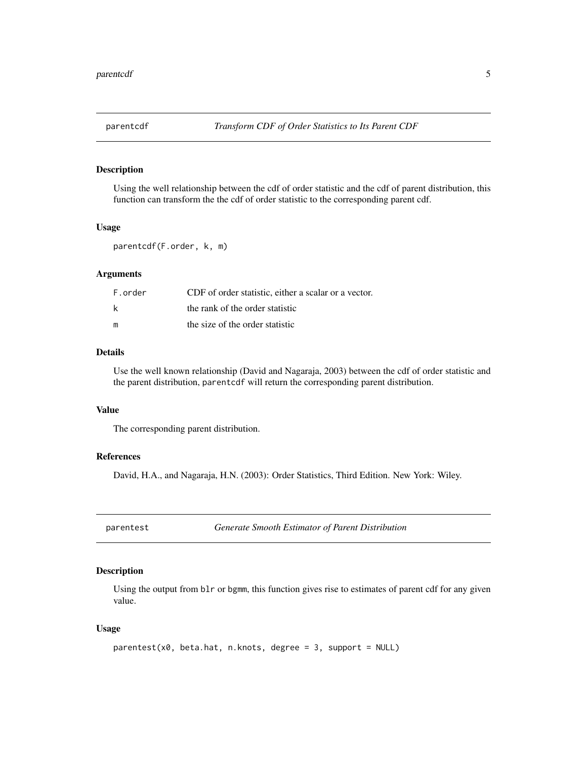<span id="page-4-0"></span>

# Description

Using the well relationship between the cdf of order statistic and the cdf of parent distribution, this function can transform the the cdf of order statistic to the corresponding parent cdf.

#### Usage

```
parentcdf(F.order, k, m)
```
# Arguments

| F.order | CDF of order statistic, either a scalar or a vector. |
|---------|------------------------------------------------------|
| k       | the rank of the order statistic                      |
| m       | the size of the order statistic                      |

#### Details

Use the well known relationship (David and Nagaraja, 2003) between the cdf of order statistic and the parent distribution, parentcdf will return the corresponding parent distribution.

# Value

The corresponding parent distribution.

# References

David, H.A., and Nagaraja, H.N. (2003): Order Statistics, Third Edition. New York: Wiley.

<span id="page-4-1"></span>parentest *Generate Smooth Estimator of Parent Distribution*

# Description

Using the output from blr or bgmm, this function gives rise to estimates of parent cdf for any given value.

# Usage

```
parentest(x0, beta.hat, n.knots, degree = 3, support = NULL)
```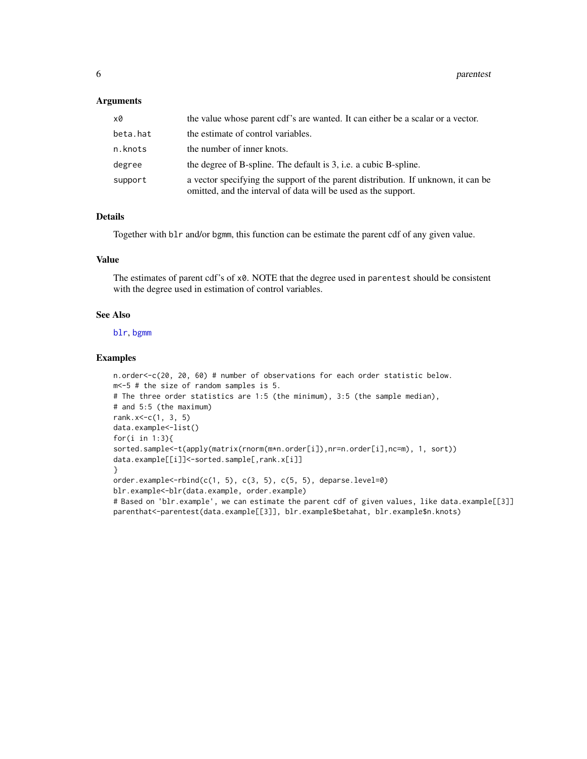#### <span id="page-5-0"></span>**Arguments**

| x0       | the value whose parent cdf's are wanted. It can either be a scalar or a vector.                                                                     |
|----------|-----------------------------------------------------------------------------------------------------------------------------------------------------|
| beta.hat | the estimate of control variables.                                                                                                                  |
| n.knots  | the number of inner knots.                                                                                                                          |
| degree   | the degree of B-spline. The default is 3, i.e. a cubic B-spline.                                                                                    |
| support  | a vector specifying the support of the parent distribution. If unknown, it can be<br>omitted, and the interval of data will be used as the support. |

# Details

Together with blr and/or bgmm, this function can be estimate the parent cdf of any given value.

#### Value

The estimates of parent cdf's of x0. NOTE that the degree used in parentest should be consistent with the degree used in estimation of control variables.

#### See Also

[blr](#page-2-1), [bgmm](#page-1-1)

# Examples

```
n.order<-c(20, 20, 60) # number of observations for each order statistic below.
m<-5 # the size of random samples is 5.
# The three order statistics are 1:5 (the minimum), 3:5 (the sample median),
# and 5:5 (the maximum)
rank.x <- c(1, 3, 5)data.example<-list()
for(i in 1:3){
sorted.sample<-t(apply(matrix(rnorm(m*n.order[i]),nr=n.order[i],nc=m), 1, sort))
data.example[[i]]<-sorted.sample[,rank.x[i]]
}
order.example<-rbind(c(1, 5), c(3, 5), c(5, 5), deparse.level=0)
blr.example<-blr(data.example, order.example)
# Based on 'blr.example', we can estimate the parent cdf of given values, like data.example[[3]]
parenthat<-parentest(data.example[[3]], blr.example$betahat, blr.example$n.knots)
```